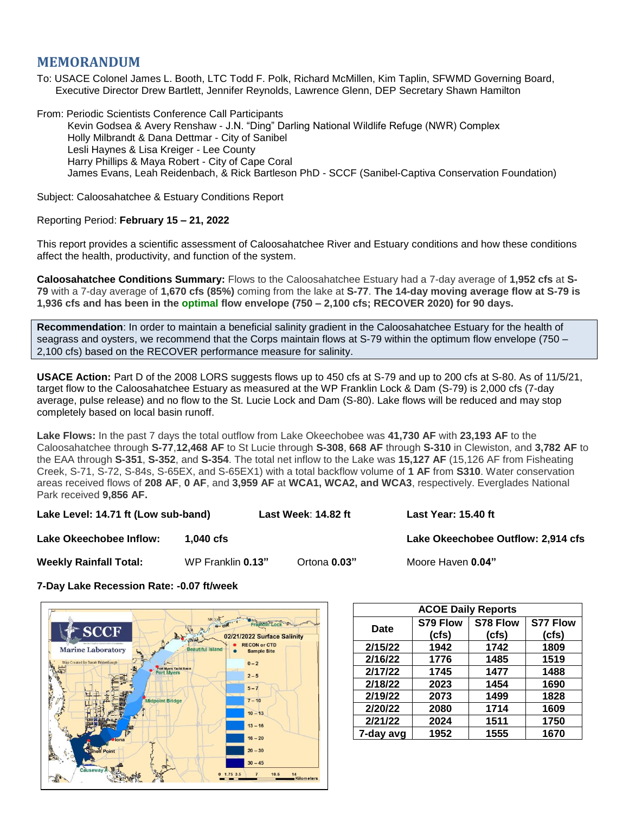## **MEMORANDUM**

To: USACE Colonel James L. Booth, LTC Todd F. Polk, Richard McMillen, Kim Taplin, SFWMD Governing Board, Executive Director Drew Bartlett, Jennifer Reynolds, Lawrence Glenn, DEP Secretary Shawn Hamilton

From: Periodic Scientists Conference Call Participants Kevin Godsea & Avery Renshaw - J.N. "Ding" Darling National Wildlife Refuge (NWR) Complex Holly Milbrandt & Dana Dettmar - City of Sanibel Lesli Haynes & Lisa Kreiger - Lee County Harry Phillips & Maya Robert - City of Cape Coral James Evans, Leah Reidenbach, & Rick Bartleson PhD - SCCF (Sanibel-Captiva Conservation Foundation)

Subject: Caloosahatchee & Estuary Conditions Report

## Reporting Period: **February 15 – 21, 2022**

This report provides a scientific assessment of Caloosahatchee River and Estuary conditions and how these conditions affect the health, productivity, and function of the system.

**Caloosahatchee Conditions Summary:** Flows to the Caloosahatchee Estuary had a 7-day average of **1,952 cfs** at **S-79** with a 7-day average of **1,670 cfs (85%)** coming from the lake at **S-77**. **The 14-day moving average flow at S-79 is 1,936 cfs and has been in the optimal flow envelope (750 – 2,100 cfs; RECOVER 2020) for 90 days.**

**Recommendation**: In order to maintain a beneficial salinity gradient in the Caloosahatchee Estuary for the health of seagrass and oysters, we recommend that the Corps maintain flows at S-79 within the optimum flow envelope (750 – 2,100 cfs) based on the RECOVER performance measure for salinity.

**USACE Action:** Part D of the 2008 LORS suggests flows up to 450 cfs at S-79 and up to 200 cfs at S-80. As of 11/5/21, target flow to the Caloosahatchee Estuary as measured at the WP Franklin Lock & Dam (S-79) is 2,000 cfs (7-day average, pulse release) and no flow to the St. Lucie Lock and Dam (S-80). Lake flows will be reduced and may stop completely based on local basin runoff.

**Lake Flows:** In the past 7 days the total outflow from Lake Okeechobee was **41,730 AF** with **23,193 AF** to the Caloosahatchee through **S-77**,**12,468 AF** to St Lucie through **S-308**, **668 AF** through **S-310** in Clewiston, and **3,782 AF** to the EAA through **S-351**, **S-352**, and **S-354**. The total net inflow to the Lake was **15,127 AF** (15,126 AF from Fisheating Creek, S-71, S-72, S-84s, S-65EX, and S-65EX1) with a total backflow volume of **1 AF** from **S310**. Water conservation areas received flows of **208 AF**, **0 AF**, and **3,959 AF** at **WCA1, WCA2, and WCA3**, respectively. Everglades National Park received **9,856 AF.**

**Lake Level: 14.71 ft (Low sub-band) Last Week**: **14.82 ft Last Year: 15.40 ft**

**Lake Okeechobee Inflow:**  $\qquad$  **1,040 cfs Lake Channel 2,914 cfs** Lake Okeechobee Outflow: 2,914 cfs

**Weekly Rainfall Total:** WP Franklin **0.13"** Ortona **0.03"** Moore Haven **0.04"**

**7-Day Lake Recession Rate: -0.07 ft/week**



| <b>ACOE Daily Reports</b> |          |          |                 |  |  |  |
|---------------------------|----------|----------|-----------------|--|--|--|
| Date                      | S79 Flow | S78 Flow | <b>S77 Flow</b> |  |  |  |
|                           | (cfs)    | (cfs)    | (cfs)           |  |  |  |
| 2/15/22                   | 1942     | 1742     | 1809            |  |  |  |
| 2/16/22                   | 1776     | 1485     | 1519            |  |  |  |
| 2/17/22                   | 1745     | 1477     | 1488            |  |  |  |
| 2/18/22                   | 2023     | 1454     | 1690            |  |  |  |
| 2/19/22                   | 2073     | 1499     | 1828            |  |  |  |
| 2/20/22                   | 2080     | 1714     | 1609            |  |  |  |
| 2/21/22                   | 2024     | 1511     | 1750            |  |  |  |
| 7-day avg                 | 1952     | 1555     | 1670            |  |  |  |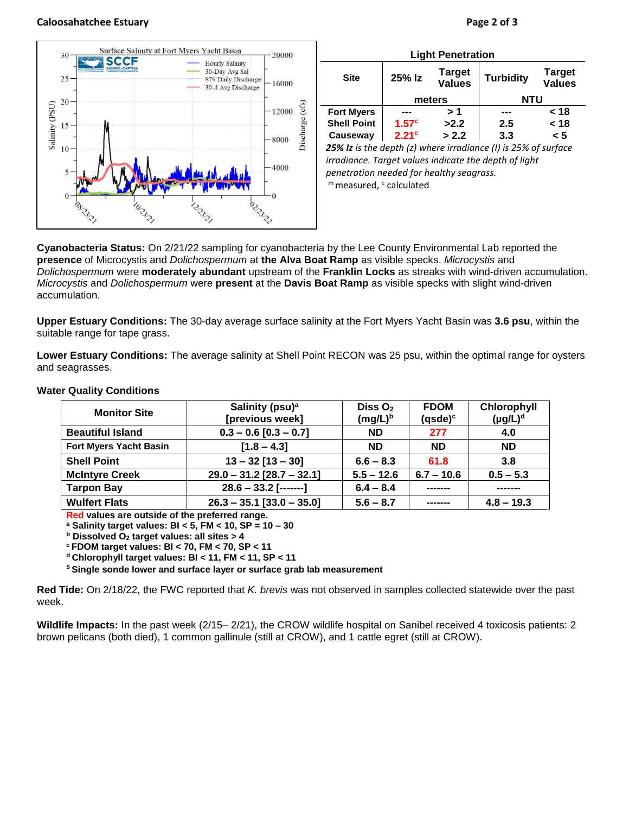## **Caloosahatchee Estuary Page 2 of 3**



| <b>Light Penetration</b>                                       |                   |                         |                  |                                |  |  |  |
|----------------------------------------------------------------|-------------------|-------------------------|------------------|--------------------------------|--|--|--|
| <b>Site</b>                                                    | 25% Iz            | Target<br><b>Values</b> | <b>Turbidity</b> | <b>Target</b><br><b>Values</b> |  |  |  |
|                                                                | meters            |                         | <b>NTU</b>       |                                |  |  |  |
| <b>Fort Myers</b>                                              |                   | > 1                     |                  | < 18                           |  |  |  |
| <b>Shell Point</b>                                             | 1.57 <sup>c</sup> | >2.2                    | 2.5              | < 18                           |  |  |  |
| Causeway                                                       | 2.21 <sup>c</sup> | > 2.2                   | 3.3              | < 5                            |  |  |  |
| 25% Iz is the depth (z) where irradiance (I) is 25% of surface |                   |                         |                  |                                |  |  |  |

*25% Iz is the depth (z) where irradiance (I) is 25% of surface irradiance. Target values indicate the depth of light penetration needed for healthy seagrass.* m measured, c calculated

**Cyanobacteria Status:** On 2/21/22 sampling for cyanobacteria by the Lee County Environmental Lab reported the **presence** of Microcystis and *Dolichospermum* at **the Alva Boat Ramp** as visible specks. *Microcystis* and *Dolichospermum* were **moderately abundant** upstream of the **Franklin Locks** as streaks with wind-driven accumulation. *Microcystis* and *Dolichospermum* were **present** at the **Davis Boat Ramp** as visible specks with slight wind-driven accumulation.

**Upper Estuary Conditions:** The 30-day average surface salinity at the Fort Myers Yacht Basin was **3.6 psu**, within the suitable range for tape grass.

**Lower Estuary Conditions:** The average salinity at Shell Point RECON was 25 psu, within the optimal range for oysters and seagrasses.

| <b>Monitor Site</b>           | Salinity (psu) <sup>a</sup> | Diss $O2$    | <b>FDOM</b>    | Chlorophyll   |
|-------------------------------|-----------------------------|--------------|----------------|---------------|
|                               | [previous week]             | $(mg/L)^b$   | $(q$ sde $)^c$ | $(\mu g/L)^d$ |
| <b>Beautiful Island</b>       | $0.3 - 0.6$ [0.3 - 0.7]     | <b>ND</b>    | 277            | 4.0           |
| <b>Fort Myers Yacht Basin</b> | $[1.8 - 4.3]$               | <b>ND</b>    | <b>ND</b>      | <b>ND</b>     |
| <b>Shell Point</b>            | $13 - 32$ [13 - 30]         | $6.6 - 8.3$  | 61.8           | 3.8           |
| <b>McIntyre Creek</b>         | $29.0 - 31.2$ [28.7 - 32.1] | $5.5 - 12.6$ | $6.7 - 10.6$   | $0.5 - 5.3$   |
| <b>Tarpon Bay</b>             | $28.6 - 33.2$ [-------]     | $6.4 - 8.4$  |                |               |
| <b>Wulfert Flats</b>          | $26.3 - 35.1$ [33.0 - 35.0] | $5.6 - 8.7$  | -------        | $4.8 - 19.3$  |

## **Water Quality Conditions**

**Red values are outside of the preferred range.**

**<sup>a</sup> Salinity target values: BI < 5, FM < 10, SP = 10 – 30**

**<sup>b</sup> Dissolved O<sup>2</sup> target values: all sites > 4**

**<sup>c</sup> FDOM target values: BI < 70, FM < 70, SP < 11**

**<sup>d</sup> Chlorophyll target values: BI < 11, FM < 11, SP < 11** 

**<sup>s</sup> Single sonde lower and surface layer or surface grab lab measurement**

**Red Tide:** On 2/18/22, the FWC reported that *K. brevis* was not observed in samples collected statewide over the past week.

**Wildlife Impacts:** In the past week (2/15– 2/21), the CROW wildlife hospital on Sanibel received 4 toxicosis patients: 2 brown pelicans (both died), 1 common gallinule (still at CROW), and 1 cattle egret (still at CROW).